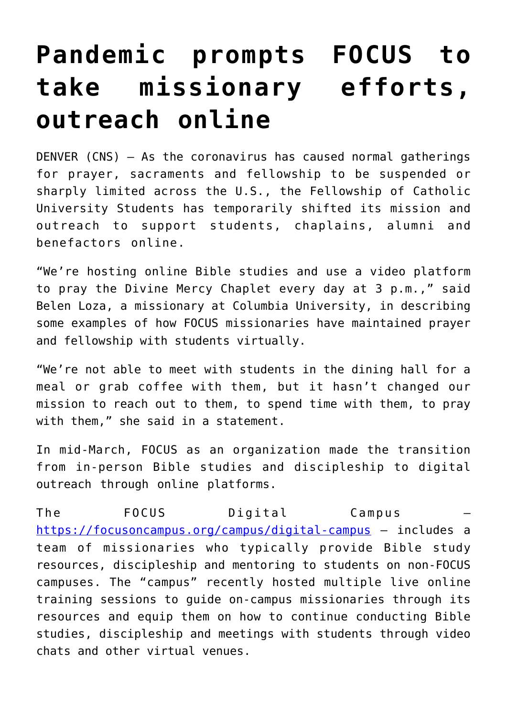## **[Pandemic prompts FOCUS to](https://www.osvnews.com/2020/04/23/pandemic-prompts-focus-to-take-missionary-efforts-outreach-online/) [take missionary efforts,](https://www.osvnews.com/2020/04/23/pandemic-prompts-focus-to-take-missionary-efforts-outreach-online/) [outreach online](https://www.osvnews.com/2020/04/23/pandemic-prompts-focus-to-take-missionary-efforts-outreach-online/)**

DENVER (CNS) — As the coronavirus has caused normal gatherings for prayer, sacraments and fellowship to be suspended or sharply limited across the U.S., the Fellowship of Catholic University Students has temporarily shifted its mission and outreach to support students, chaplains, alumni and benefactors online.

"We're hosting online Bible studies and use a video platform to pray the Divine Mercy Chaplet every day at 3 p.m.," said Belen Loza, a missionary at Columbia University, in describing some examples of how FOCUS missionaries have maintained prayer and fellowship with students virtually.

"We're not able to meet with students in the dining hall for a meal or grab coffee with them, but it hasn't changed our mission to reach out to them, to spend time with them, to pray with them," she said in a statement.

In mid-March, FOCUS as an organization made the transition from in-person Bible studies and discipleship to digital outreach through online platforms.

The FOCUS Digital Campus <https://focusoncampus.org/campus/digital-campus> — includes a team of missionaries who typically provide Bible study resources, discipleship and mentoring to students on non-FOCUS campuses. The "campus" recently hosted multiple live online training sessions to guide on-campus missionaries through its resources and equip them on how to continue conducting Bible studies, discipleship and meetings with students through video chats and other virtual venues.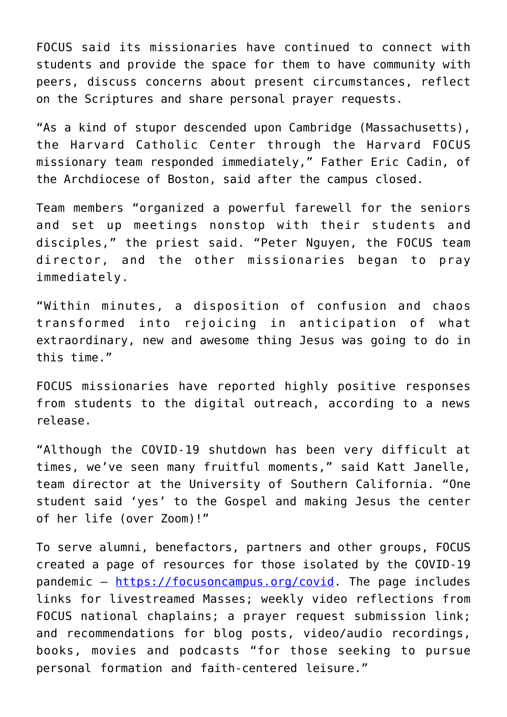FOCUS said its missionaries have continued to connect with students and provide the space for them to have community with peers, discuss concerns about present circumstances, reflect on the Scriptures and share personal prayer requests.

"As a kind of stupor descended upon Cambridge (Massachusetts), the Harvard Catholic Center through the Harvard FOCUS missionary team responded immediately," Father Eric Cadin, of the Archdiocese of Boston, said after the campus closed.

Team members "organized a powerful farewell for the seniors and set up meetings nonstop with their students and disciples," the priest said. "Peter Nguyen, the FOCUS team director, and the other missionaries began to pray immediately.

"Within minutes, a disposition of confusion and chaos transformed into rejoicing in anticipation of what extraordinary, new and awesome thing Jesus was going to do in this time."

FOCUS missionaries have reported highly positive responses from students to the digital outreach, according to a news release.

"Although the COVID-19 shutdown has been very difficult at times, we've seen many fruitful moments," said Katt Janelle, team director at the University of Southern California. "One student said 'yes' to the Gospel and making Jesus the center of her life (over Zoom)!"

To serve alumni, benefactors, partners and other groups, FOCUS created a page of resources for those isolated by the COVID-19 pandemic — <https://focusoncampus.org/covid>. The page includes links for livestreamed Masses; weekly video reflections from FOCUS national chaplains; a prayer request submission link; and recommendations for blog posts, video/audio recordings, books, movies and podcasts "for those seeking to pursue personal formation and faith-centered leisure."